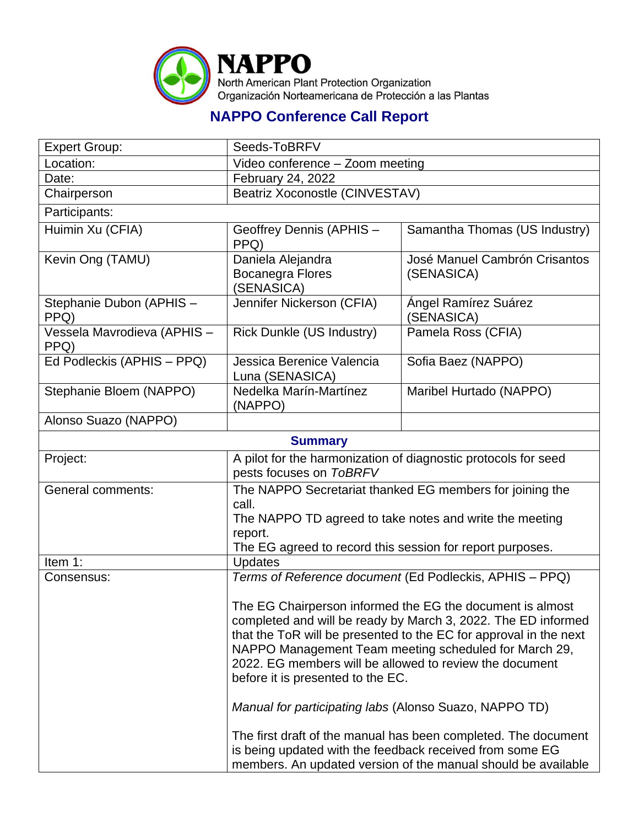

## **NAPPO Conference Call Report**

| <b>Expert Group:</b>                | Seeds-ToBRFV                                                                                                                                                                                                                                                                                                                                                                                                                                                                  |                                             |  |  |
|-------------------------------------|-------------------------------------------------------------------------------------------------------------------------------------------------------------------------------------------------------------------------------------------------------------------------------------------------------------------------------------------------------------------------------------------------------------------------------------------------------------------------------|---------------------------------------------|--|--|
| Location:                           | Video conference - Zoom meeting                                                                                                                                                                                                                                                                                                                                                                                                                                               |                                             |  |  |
| Date:                               | February 24, 2022                                                                                                                                                                                                                                                                                                                                                                                                                                                             |                                             |  |  |
| Chairperson                         | Beatriz Xoconostle (CINVESTAV)                                                                                                                                                                                                                                                                                                                                                                                                                                                |                                             |  |  |
| Participants:                       |                                                                                                                                                                                                                                                                                                                                                                                                                                                                               |                                             |  |  |
| Huimin Xu (CFIA)                    | Geoffrey Dennis (APHIS -<br>PPQ)                                                                                                                                                                                                                                                                                                                                                                                                                                              | Samantha Thomas (US Industry)               |  |  |
| Kevin Ong (TAMU)                    | Daniela Alejandra<br><b>Bocanegra Flores</b><br>(SENASICA)                                                                                                                                                                                                                                                                                                                                                                                                                    | José Manuel Cambrón Crisantos<br>(SENASICA) |  |  |
| Stephanie Dubon (APHIS -<br>PPQ)    | Jennifer Nickerson (CFIA)                                                                                                                                                                                                                                                                                                                                                                                                                                                     | Ángel Ramírez Suárez<br>(SENASICA)          |  |  |
| Vessela Mavrodieva (APHIS -<br>PPQ) | <b>Rick Dunkle (US Industry)</b>                                                                                                                                                                                                                                                                                                                                                                                                                                              | Pamela Ross (CFIA)                          |  |  |
| Ed Podleckis (APHIS - PPQ)          | Jessica Berenice Valencia<br>Luna (SENASICA)                                                                                                                                                                                                                                                                                                                                                                                                                                  | Sofia Baez (NAPPO)                          |  |  |
| Stephanie Bloem (NAPPO)             | Nedelka Marín-Martínez<br>(NAPPO)                                                                                                                                                                                                                                                                                                                                                                                                                                             | Maribel Hurtado (NAPPO)                     |  |  |
| Alonso Suazo (NAPPO)                |                                                                                                                                                                                                                                                                                                                                                                                                                                                                               |                                             |  |  |
|                                     | <b>Summary</b>                                                                                                                                                                                                                                                                                                                                                                                                                                                                |                                             |  |  |
| Project:                            | A pilot for the harmonization of diagnostic protocols for seed<br>pests focuses on ToBRFV                                                                                                                                                                                                                                                                                                                                                                                     |                                             |  |  |
| General comments:                   | The NAPPO Secretariat thanked EG members for joining the<br>call.<br>The NAPPO TD agreed to take notes and write the meeting<br>report.<br>The EG agreed to record this session for report purposes.                                                                                                                                                                                                                                                                          |                                             |  |  |
| Item 1:                             | <b>Updates</b>                                                                                                                                                                                                                                                                                                                                                                                                                                                                |                                             |  |  |
| Consensus:                          | Terms of Reference document (Ed Podleckis, APHIS - PPQ)<br>The EG Chairperson informed the EG the document is almost<br>completed and will be ready by March 3, 2022. The ED informed<br>that the ToR will be presented to the EC for approval in the next<br>NAPPO Management Team meeting scheduled for March 29,<br>2022. EG members will be allowed to review the document<br>before it is presented to the EC.<br>Manual for participating labs (Alonso Suazo, NAPPO TD) |                                             |  |  |
|                                     |                                                                                                                                                                                                                                                                                                                                                                                                                                                                               |                                             |  |  |
|                                     |                                                                                                                                                                                                                                                                                                                                                                                                                                                                               |                                             |  |  |
|                                     | The first draft of the manual has been completed. The document<br>is being updated with the feedback received from some EG<br>members. An updated version of the manual should be available                                                                                                                                                                                                                                                                                   |                                             |  |  |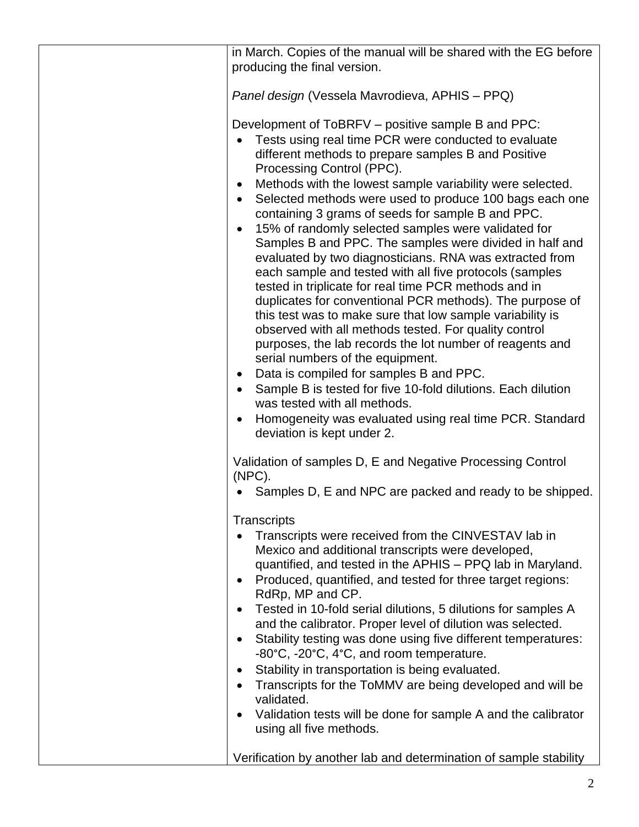|  | in March. Copies of the manual will be shared with the EG before                                                                                                                                                                                                                                                                                                                                                                                                                                                                                                                                                                                                                                                                                                                                                                                                                                                                                                                                                                                                                                                                                                                                                                                                |  |  |
|--|-----------------------------------------------------------------------------------------------------------------------------------------------------------------------------------------------------------------------------------------------------------------------------------------------------------------------------------------------------------------------------------------------------------------------------------------------------------------------------------------------------------------------------------------------------------------------------------------------------------------------------------------------------------------------------------------------------------------------------------------------------------------------------------------------------------------------------------------------------------------------------------------------------------------------------------------------------------------------------------------------------------------------------------------------------------------------------------------------------------------------------------------------------------------------------------------------------------------------------------------------------------------|--|--|
|  | producing the final version.                                                                                                                                                                                                                                                                                                                                                                                                                                                                                                                                                                                                                                                                                                                                                                                                                                                                                                                                                                                                                                                                                                                                                                                                                                    |  |  |
|  |                                                                                                                                                                                                                                                                                                                                                                                                                                                                                                                                                                                                                                                                                                                                                                                                                                                                                                                                                                                                                                                                                                                                                                                                                                                                 |  |  |
|  | Panel design (Vessela Mavrodieva, APHIS – PPQ)                                                                                                                                                                                                                                                                                                                                                                                                                                                                                                                                                                                                                                                                                                                                                                                                                                                                                                                                                                                                                                                                                                                                                                                                                  |  |  |
|  | Development of ToBRFV – positive sample B and PPC:<br>Tests using real time PCR were conducted to evaluate<br>$\bullet$<br>different methods to prepare samples B and Positive<br>Processing Control (PPC).<br>Methods with the lowest sample variability were selected.<br>$\bullet$<br>Selected methods were used to produce 100 bags each one<br>$\bullet$<br>containing 3 grams of seeds for sample B and PPC.<br>15% of randomly selected samples were validated for<br>$\bullet$<br>Samples B and PPC. The samples were divided in half and<br>evaluated by two diagnosticians. RNA was extracted from<br>each sample and tested with all five protocols (samples<br>tested in triplicate for real time PCR methods and in<br>duplicates for conventional PCR methods). The purpose of<br>this test was to make sure that low sample variability is<br>observed with all methods tested. For quality control<br>purposes, the lab records the lot number of reagents and<br>serial numbers of the equipment.<br>Data is compiled for samples B and PPC.<br>$\bullet$<br>Sample B is tested for five 10-fold dilutions. Each dilution<br>$\bullet$<br>was tested with all methods.<br>Homogeneity was evaluated using real time PCR. Standard<br>$\bullet$ |  |  |
|  | deviation is kept under 2.<br>Validation of samples D, E and Negative Processing Control<br>$(NPC)$ .<br>Samples D, E and NPC are packed and ready to be shipped.                                                                                                                                                                                                                                                                                                                                                                                                                                                                                                                                                                                                                                                                                                                                                                                                                                                                                                                                                                                                                                                                                               |  |  |
|  |                                                                                                                                                                                                                                                                                                                                                                                                                                                                                                                                                                                                                                                                                                                                                                                                                                                                                                                                                                                                                                                                                                                                                                                                                                                                 |  |  |
|  |                                                                                                                                                                                                                                                                                                                                                                                                                                                                                                                                                                                                                                                                                                                                                                                                                                                                                                                                                                                                                                                                                                                                                                                                                                                                 |  |  |
|  | Transcripts<br>Transcripts were received from the CINVESTAV lab in<br>$\bullet$<br>Mexico and additional transcripts were developed,<br>quantified, and tested in the APHIS - PPQ lab in Maryland.<br>Produced, quantified, and tested for three target regions:<br>$\bullet$<br>RdRp, MP and CP.<br>Tested in 10-fold serial dilutions, 5 dilutions for samples A<br>$\bullet$<br>and the calibrator. Proper level of dilution was selected.<br>Stability testing was done using five different temperatures:<br>$\bullet$<br>-80°C, -20°C, 4°C, and room temperature.<br>Stability in transportation is being evaluated.<br>$\bullet$<br>Transcripts for the ToMMV are being developed and will be<br>$\bullet$<br>validated.<br>Validation tests will be done for sample A and the calibrator<br>$\bullet$<br>using all five methods.                                                                                                                                                                                                                                                                                                                                                                                                                        |  |  |
|  | Verification by another lab and determination of sample stability                                                                                                                                                                                                                                                                                                                                                                                                                                                                                                                                                                                                                                                                                                                                                                                                                                                                                                                                                                                                                                                                                                                                                                                               |  |  |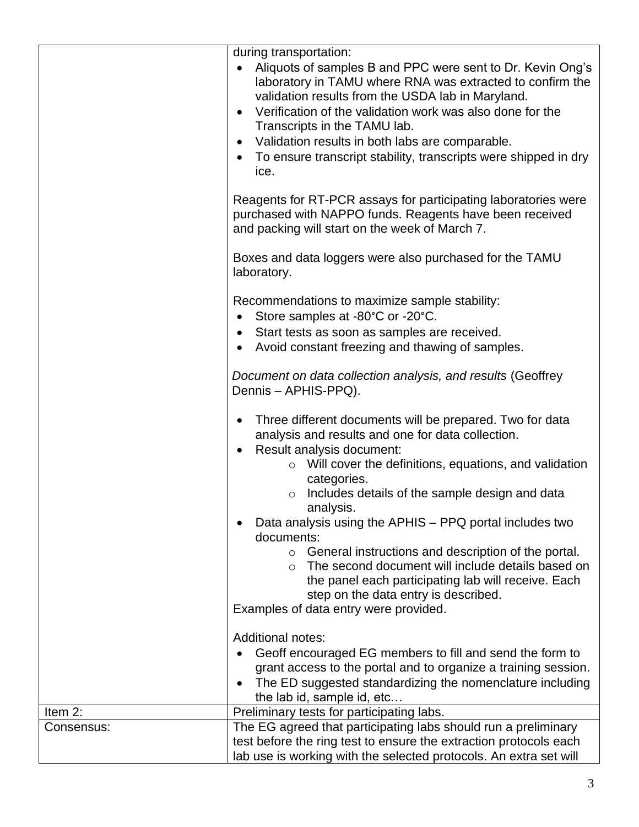|            | during transportation:<br>Aliquots of samples B and PPC were sent to Dr. Kevin Ong's<br>laboratory in TAMU where RNA was extracted to confirm the<br>validation results from the USDA lab in Maryland.<br>Verification of the validation work was also done for the<br>Transcripts in the TAMU lab.<br>Validation results in both labs are comparable.<br>To ensure transcript stability, transcripts were shipped in dry<br>ice.                                                                 |  |  |  |
|------------|---------------------------------------------------------------------------------------------------------------------------------------------------------------------------------------------------------------------------------------------------------------------------------------------------------------------------------------------------------------------------------------------------------------------------------------------------------------------------------------------------|--|--|--|
|            | Reagents for RT-PCR assays for participating laboratories were<br>purchased with NAPPO funds. Reagents have been received<br>and packing will start on the week of March 7.                                                                                                                                                                                                                                                                                                                       |  |  |  |
|            | Boxes and data loggers were also purchased for the TAMU<br>laboratory.                                                                                                                                                                                                                                                                                                                                                                                                                            |  |  |  |
|            | Recommendations to maximize sample stability:<br>Store samples at -80°C or -20°C.<br>Start tests as soon as samples are received.<br>Avoid constant freezing and thawing of samples.                                                                                                                                                                                                                                                                                                              |  |  |  |
|            | Document on data collection analysis, and results (Geoffrey<br>Dennis - APHIS-PPQ).                                                                                                                                                                                                                                                                                                                                                                                                               |  |  |  |
|            | Three different documents will be prepared. Two for data<br>analysis and results and one for data collection.<br>Result analysis document:<br>$\circ$ Will cover the definitions, equations, and validation<br>categories.<br>Includes details of the sample design and data<br>analysis.<br>Data analysis using the APHIS - PPQ portal includes two<br>documents:<br>$\circ$ General instructions and description of the portal.<br>The second document will include details based on<br>$\circ$ |  |  |  |
|            | the panel each participating lab will receive. Each<br>step on the data entry is described.<br>Examples of data entry were provided.                                                                                                                                                                                                                                                                                                                                                              |  |  |  |
|            | <b>Additional notes:</b><br>Geoff encouraged EG members to fill and send the form to<br>grant access to the portal and to organize a training session.<br>The ED suggested standardizing the nomenclature including<br>the lab id, sample id, etc                                                                                                                                                                                                                                                 |  |  |  |
| Item 2:    | Preliminary tests for participating labs.                                                                                                                                                                                                                                                                                                                                                                                                                                                         |  |  |  |
| Consensus: | The EG agreed that participating labs should run a preliminary<br>test before the ring test to ensure the extraction protocols each<br>lab use is working with the selected protocols. An extra set will                                                                                                                                                                                                                                                                                          |  |  |  |